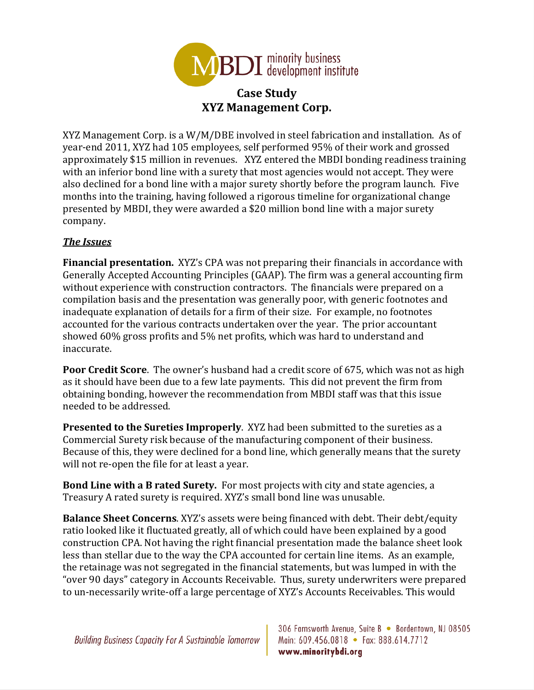

## **Case Study XYZ Management Corp.**

XYZ Management Corp. is a W/M/DBE involved in steel fabrication and installation. As of year-end 2011, XYZ had 105 employees, self performed 95% of their work and grossed approximately \$15 million in revenues. XYZ entered the MBDI bonding readiness training with an inferior bond line with a surety that most agencies would not accept. They were also declined for a bond line with a major surety shortly before the program launch. Five months into the training, having followed a rigorous timeline for organizational change presented by MBDI, they were awarded a \$20 million bond line with a major surety company. 

## *The Issues*

**Financial presentation.** XYZ's CPA was not preparing their financials in accordance with Generally Accepted Accounting Principles (GAAP). The firm was a general accounting firm without experience with construction contractors. The financials were prepared on a compilation basis and the presentation was generally poor, with generic footnotes and inadequate explanation of details for a firm of their size. For example, no footnotes accounted for the various contracts undertaken over the year. The prior accountant showed 60% gross profits and 5% net profits, which was hard to understand and inaccurate. 

**Poor Credit Score**. The owner's husband had a credit score of 675, which was not as high as it should have been due to a few late payments. This did not prevent the firm from obtaining bonding, however the recommendation from MBDI staff was that this issue needed to be addressed.

**Presented to the Sureties Improperly.** XYZ had been submitted to the sureties as a Commercial Surety risk because of the manufacturing component of their business. Because of this, they were declined for a bond line, which generally means that the surety will not re-open the file for at least a year.

**Bond Line with a B rated Surety.** For most projects with city and state agencies, a Treasury A rated surety is required. XYZ's small bond line was unusable.

**Balance Sheet Concerns**. XYZ's assets were being financed with debt. Their debt/equity ratio looked like it fluctuated greatly, all of which could have been explained by a good construction CPA. Not having the right financial presentation made the balance sheet look less than stellar due to the way the CPA accounted for certain line items. As an example, the retainage was not segregated in the financial statements, but was lumped in with the "over 90 days" category in Accounts Receivable. Thus, surety underwriters were prepared to un-necessarily write-off a large percentage of XYZ's Accounts Receivables. This would